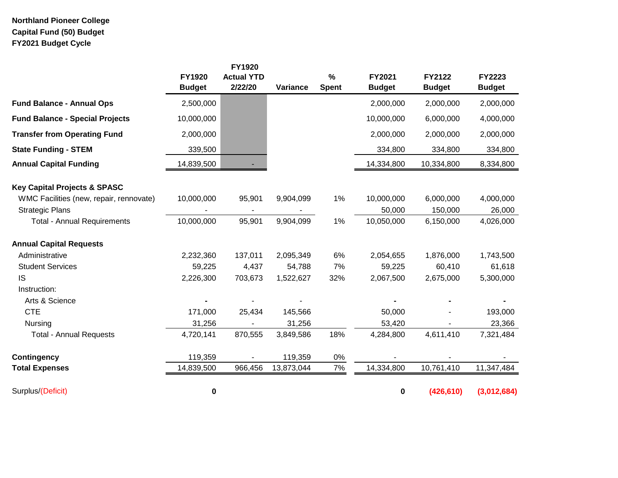## **Northland Pioneer College Capital Fund (50) Budget FY2021 Budget Cycle**

|                                         | <b>FY1920</b><br><b>Budget</b> | FY1920<br><b>Actual YTD</b><br>2/22/20 | Variance   | $\%$<br><b>Spent</b> | FY2021<br><b>Budget</b> | <b>FY2122</b><br><b>Budget</b> | FY2223<br><b>Budget</b> |
|-----------------------------------------|--------------------------------|----------------------------------------|------------|----------------------|-------------------------|--------------------------------|-------------------------|
| <b>Fund Balance - Annual Ops</b>        | 2,500,000                      |                                        |            |                      | 2,000,000               | 2,000,000                      | 2,000,000               |
| <b>Fund Balance - Special Projects</b>  | 10,000,000                     |                                        |            |                      | 10,000,000              | 6,000,000                      | 4,000,000               |
| <b>Transfer from Operating Fund</b>     | 2,000,000                      |                                        |            |                      | 2,000,000               | 2,000,000                      | 2,000,000               |
| <b>State Funding - STEM</b>             | 339,500                        |                                        |            |                      | 334,800                 | 334,800                        | 334,800                 |
| <b>Annual Capital Funding</b>           | 14,839,500                     |                                        |            |                      | 14,334,800              | 10,334,800                     | 8,334,800               |
| <b>Key Capital Projects &amp; SPASC</b> |                                |                                        |            |                      |                         |                                |                         |
| WMC Facilities (new, repair, rennovate) | 10,000,000                     | 95,901                                 | 9,904,099  | 1%                   | 10,000,000              | 6,000,000                      | 4,000,000               |
| <b>Strategic Plans</b>                  |                                |                                        |            |                      | 50,000                  | 150,000                        | 26,000                  |
| <b>Total - Annual Requirements</b>      | 10,000,000                     | 95,901                                 | 9,904,099  | 1%                   | 10,050,000              | 6,150,000                      | 4,026,000               |
| <b>Annual Capital Requests</b>          |                                |                                        |            |                      |                         |                                |                         |
| Administrative                          | 2,232,360                      | 137,011                                | 2,095,349  | 6%                   | 2,054,655               | 1,876,000                      | 1,743,500               |
| <b>Student Services</b>                 | 59,225                         | 4,437                                  | 54,788     | 7%                   | 59,225                  | 60,410                         | 61,618                  |
| <b>IS</b>                               | 2,226,300                      | 703,673                                | 1,522,627  | 32%                  | 2,067,500               | 2,675,000                      | 5,300,000               |
| Instruction:                            |                                |                                        |            |                      |                         |                                |                         |
| Arts & Science                          |                                |                                        |            |                      |                         |                                |                         |
| <b>CTE</b>                              | 171,000                        | 25,434                                 | 145,566    |                      | 50,000                  |                                | 193,000                 |
| Nursing                                 | 31,256                         |                                        | 31,256     |                      | 53,420                  |                                | 23,366                  |
| <b>Total - Annual Requests</b>          | 4,720,141                      | 870,555                                | 3,849,586  | 18%                  | 4,284,800               | 4,611,410                      | 7,321,484               |
| <b>Contingency</b>                      | 119,359                        |                                        | 119,359    | 0%                   |                         |                                |                         |
| <b>Total Expenses</b>                   | 14,839,500                     | 966,456                                | 13,873,044 | 7%                   | 14,334,800              | 10,761,410                     | 11,347,484              |
| Surplus/(Deficit)                       | 0                              |                                        |            |                      | 0                       | (426, 610)                     | (3,012,684)             |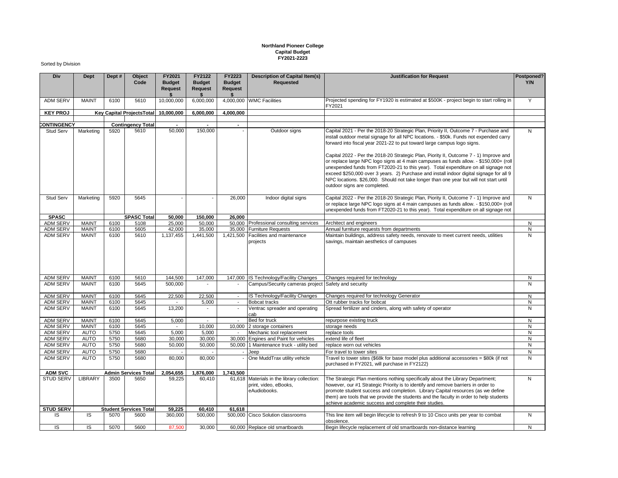## **Northland Pioneer College Capital Budget FY2021-2223**

## Sorted by Division

| Div                                | Dept                         | Dept #       | Object<br>Code                   | FY2021<br><b>Budget</b><br><b>Request</b> | FY2122<br><b>Budget</b><br><b>Request</b> | FY2223<br><b>Budget</b><br><b>Request</b> | <b>Description of Capital Item(s)</b><br>Requested                                   | <b>Justification for Request</b>                                                                                                                                                                                                                                                                                                                                                                                                                                                                                                                                                                                                                                | Postponed?<br>Y/N |
|------------------------------------|------------------------------|--------------|----------------------------------|-------------------------------------------|-------------------------------------------|-------------------------------------------|--------------------------------------------------------------------------------------|-----------------------------------------------------------------------------------------------------------------------------------------------------------------------------------------------------------------------------------------------------------------------------------------------------------------------------------------------------------------------------------------------------------------------------------------------------------------------------------------------------------------------------------------------------------------------------------------------------------------------------------------------------------------|-------------------|
| <b>ADM SERV</b>                    | <b>MAINT</b>                 | 6100         | 5610                             | 10,000,000                                | 6,000,000                                 |                                           | 4,000,000 WMC Facilities                                                             | Projected spending for FY1920 is estimated at \$500K - project begin to start rolling in<br>FY2021                                                                                                                                                                                                                                                                                                                                                                                                                                                                                                                                                              | Y                 |
| <b>KEY PROJ</b>                    |                              |              | <b>Key Capital ProjectsTotal</b> | 10,000,000                                | 6,000,000                                 | 4,000,000                                 |                                                                                      |                                                                                                                                                                                                                                                                                                                                                                                                                                                                                                                                                                                                                                                                 |                   |
| <b>CONTINGENCY</b>                 |                              |              | <b>Contingency Total</b>         | $\sim$                                    | $\sim$                                    | $\blacksquare$                            |                                                                                      |                                                                                                                                                                                                                                                                                                                                                                                                                                                                                                                                                                                                                                                                 |                   |
| Stud Serv                          | Marketing                    | 5920         | 5610                             | 50,000                                    | 150,000                                   |                                           | Outdoor signs                                                                        | Capital 2021 - Per the 2018-20 Strategic Plan, Priority II, Outcome 7 - Purchase and                                                                                                                                                                                                                                                                                                                                                                                                                                                                                                                                                                            | N                 |
|                                    |                              |              |                                  |                                           |                                           |                                           |                                                                                      | install outdoor metal signage for all NPC locations. - \$50k. Funds not expended carry<br>forward into fiscal year 2021-22 to put toward large campus logo signs.<br>Capital 2022 - Per the 2018-20 Strategic Plan, Piority II, Outcome 7 - 1) Improve and<br>or replace large NPC logo signs at 4 main campuses as funds allow. - \$150,000+ (roll<br>unexpended funds from FT2020-21 to this year). Total expenditure on all signage not<br>exceed \$250,000 over 3 years. 2) Purchase and install indoor digital signage for all 9<br>NPC locations. \$26,000. Should not take longer than one year but will not start until<br>outdoor signs are completed. |                   |
| <b>Stud Serv</b>                   | Marketing                    | 5920         | 5645                             |                                           |                                           | 26,000                                    | Indoor digital signs                                                                 | Capital 2022 - Per the 2018-20 Strategic Plan, Piority II, Outcome 7 - 1) Improve and<br>or replace large NPC logo signs at 4 main campuses as funds allow. - \$150,000+ (roll<br>unexpended funds from FT2020-21 to this year). Total expenditure on all signage not                                                                                                                                                                                                                                                                                                                                                                                           | $\mathsf{N}$      |
| <b>SPASC</b>                       |                              |              | <b>SPASC Total</b>               | 50,000                                    | 150,000                                   | 26,000                                    |                                                                                      |                                                                                                                                                                                                                                                                                                                                                                                                                                                                                                                                                                                                                                                                 |                   |
| ADM SERV                           | <b>MAINT</b>                 | 6100         | 5108                             | 25,000                                    | 50,000                                    |                                           | 50,000 Professional consulting services                                              | Architect and engineers                                                                                                                                                                                                                                                                                                                                                                                                                                                                                                                                                                                                                                         | N                 |
| <b>ADM SERV</b><br><b>ADM SERV</b> | <b>MAINT</b><br><b>MAINT</b> | 6100<br>6100 | 5605<br>5610                     | 42,000<br>1,137,455                       | 35,000<br>1,441,500                       |                                           | 35,000 Furniture Requests<br>1,421,500 Facilities and maintenance                    | Annual furniture requests from departments<br>Maintain buildings, address safety needs, renovate to meet current needs, utilities                                                                                                                                                                                                                                                                                                                                                                                                                                                                                                                               | N<br>N            |
|                                    |                              |              |                                  |                                           |                                           |                                           | projects                                                                             | savings, maintain aesthetics of campuses                                                                                                                                                                                                                                                                                                                                                                                                                                                                                                                                                                                                                        |                   |
| <b>ADM SERV</b>                    | MAINT                        | 6100         | 5610                             | 144,500                                   | 147,000                                   |                                           | 147.000 IS Technology/Facility Changes                                               | Changes required for technology                                                                                                                                                                                                                                                                                                                                                                                                                                                                                                                                                                                                                                 | N                 |
| <b>ADM SERV</b>                    | <b>MAINT</b>                 | 6100         | 5645                             | 500,000                                   |                                           |                                           | Campus/Security cameras project                                                      | Safety and security                                                                                                                                                                                                                                                                                                                                                                                                                                                                                                                                                                                                                                             | N                 |
| <b>ADM SERV</b>                    | <b>MAINT</b>                 | 6100         | 5645                             | 22,500                                    | 22,500                                    | $\sim$                                    | IS Technology/Facility Changes                                                       | Changes required for technology Generator                                                                                                                                                                                                                                                                                                                                                                                                                                                                                                                                                                                                                       | N                 |
| ADM SERV                           | <b>MAINT</b>                 | 6100         | 5645                             |                                           | 5,000                                     | $\overline{a}$                            | <b>Bobcat tracks</b>                                                                 | Ott rubber tracks for bobcat                                                                                                                                                                                                                                                                                                                                                                                                                                                                                                                                                                                                                                    | N                 |
| <b>ADM SERV</b>                    | <b>MAINT</b>                 | 6100         | 5645                             | 13,200                                    | $\overline{\phantom{a}}$                  | $\blacksquare$                            | Ventrac spreader and operating<br>cab                                                | Spread fertilizer and cinders, along with safety of operator                                                                                                                                                                                                                                                                                                                                                                                                                                                                                                                                                                                                    | N                 |
| <b>ADM SERV</b>                    | <b>MAINT</b>                 | 6100         | 5645                             | 5,000                                     | $\sim$                                    | $\overline{\phantom{a}}$                  | Bed for truck                                                                        | repurpose existing truck                                                                                                                                                                                                                                                                                                                                                                                                                                                                                                                                                                                                                                        | N                 |
| ADM SERV                           | <b>MAINT</b>                 | 6100         | 5645                             |                                           | 10,000                                    | 10,000                                    | 2 storage containers                                                                 | storage needs                                                                                                                                                                                                                                                                                                                                                                                                                                                                                                                                                                                                                                                   | N                 |
| <b>ADM SERV</b>                    | <b>AUTO</b>                  | 5750         | 5645                             | 5,000                                     | 5,000                                     |                                           | Mechanic tool replacement                                                            | replace tools                                                                                                                                                                                                                                                                                                                                                                                                                                                                                                                                                                                                                                                   | N                 |
| <b>ADM SERV</b>                    | <b>AUTO</b>                  | 5750         | 5680                             | 30,000                                    | 30,000                                    | 30,000                                    | Engines and Paint for vehicles                                                       | extend life of fleet                                                                                                                                                                                                                                                                                                                                                                                                                                                                                                                                                                                                                                            | N                 |
| <b>ADM SERV</b>                    | <b>AUTO</b>                  | 5750         | 5680                             | 50,000                                    | 50,000                                    |                                           | 50,000 1 Maintenance truck - utility bed                                             | replace worn out vehicles                                                                                                                                                                                                                                                                                                                                                                                                                                                                                                                                                                                                                                       | N                 |
| <b>ADM SERV</b>                    | <b>AUTO</b>                  | 5750         | 5680                             |                                           |                                           |                                           | Jeep                                                                                 | For travel to tower sites                                                                                                                                                                                                                                                                                                                                                                                                                                                                                                                                                                                                                                       | N                 |
| <b>ADM SERV</b>                    | <b>AUTO</b>                  | 5750         | 5680                             | 80,000                                    | 80,000                                    |                                           | One MuddTrax utility vehicle                                                         | Travel to tower sites (\$68k for base model plus additional accessories = \$80k (if not<br>purchased in FY2021, will purchase in FY2122)                                                                                                                                                                                                                                                                                                                                                                                                                                                                                                                        | N                 |
| <b>ADM SVC</b>                     |                              |              | Admin Services Total             | 2,054,655                                 | 1,876,000                                 | 1,743,500                                 |                                                                                      |                                                                                                                                                                                                                                                                                                                                                                                                                                                                                                                                                                                                                                                                 |                   |
| <b>STUD SERV</b>                   | <b>LIBRARY</b>               | 3500         | 5650                             | 59,225                                    | 60,410                                    |                                           | 61,618 Materials in the library collection:<br>print, video, eBooks,<br>eAudiobooks. | The Strategic Plan mentions nothing specifically about the Library Department;<br>however, our #1 Strategic Priority is to identify and remove barriers in order to<br>promote student success and completion. Library Capital resources (as we define<br>them) are tools that we provide the students and the faculty in order to help students<br>achieve academic success and complete their studies.                                                                                                                                                                                                                                                        | N                 |
| <b>STUD SERV</b>                   |                              |              | <b>Student Services Total</b>    | 59,225                                    | 60,410                                    | 61.618                                    |                                                                                      |                                                                                                                                                                                                                                                                                                                                                                                                                                                                                                                                                                                                                                                                 |                   |
| IS.                                | IS                           | 5070         | 5600                             | 360,000                                   | 500,000                                   |                                           | 500,000 Cisco Solution classrooms                                                    | This line item will begin lifecycle to refresh 9 to 10 Cisco units per year to combat<br>obsolence.                                                                                                                                                                                                                                                                                                                                                                                                                                                                                                                                                             | N                 |
| IS                                 | IS.                          | 5070         | 5600                             | 87.500                                    | 30.000                                    |                                           | 60,000 Replace old smartboards                                                       | Begin lifecycle replacement of old smartboards non-distance learning                                                                                                                                                                                                                                                                                                                                                                                                                                                                                                                                                                                            | N                 |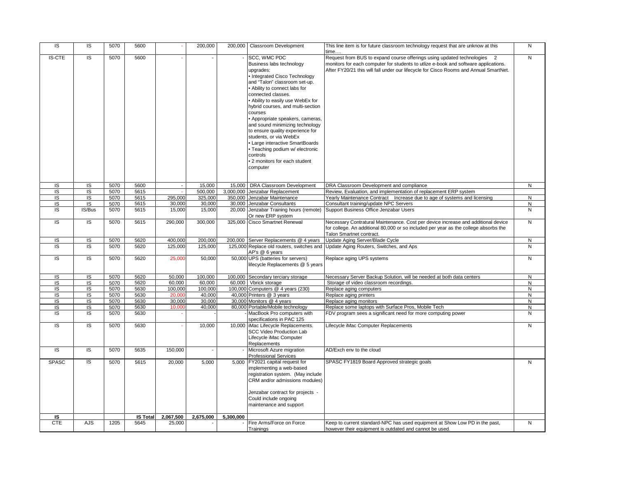| IS                      | IS             | 5070 | 5600            |           | 200,000   |           | 200,000   Classroom Development                              | This line item is for future classroom technology request that are unknow at this<br>time | N            |
|-------------------------|----------------|------|-----------------|-----------|-----------|-----------|--------------------------------------------------------------|-------------------------------------------------------------------------------------------|--------------|
| <b>IS-CTE</b>           | IS             | 5070 | 5600            |           |           |           | SCC, WMC PDC                                                 | Request from BUS to expand course offerings using updated technologies<br>$\overline{2}$  | $\mathsf{N}$ |
|                         |                |      |                 |           |           |           | Business labs technology                                     | monitors for each computer for students to utlize e-book and software applications.       |              |
|                         |                |      |                 |           |           |           | upgrades:                                                    | After FY20/21 this will fall under our lifecycle for Cisco Rooms and Annual SmartNet.     |              |
|                         |                |      |                 |           |           |           | Integrated Cisco Technology                                  |                                                                                           |              |
|                         |                |      |                 |           |           |           | and "Talon" classroom set-up.                                |                                                                                           |              |
|                         |                |      |                 |           |           |           | Ability to connect labs for                                  |                                                                                           |              |
|                         |                |      |                 |           |           |           | connected classes.                                           |                                                                                           |              |
|                         |                |      |                 |           |           |           | Ability to easily use WebEx for                              |                                                                                           |              |
|                         |                |      |                 |           |           |           |                                                              |                                                                                           |              |
|                         |                |      |                 |           |           |           | hybrid courses, and multi-section                            |                                                                                           |              |
|                         |                |      |                 |           |           |           | courses                                                      |                                                                                           |              |
|                         |                |      |                 |           |           |           | Appropriate speakers, cameras,                               |                                                                                           |              |
|                         |                |      |                 |           |           |           | and sound minimizing technology                              |                                                                                           |              |
|                         |                |      |                 |           |           |           | to ensure quality experience for                             |                                                                                           |              |
|                         |                |      |                 |           |           |           | students, or via WebEx                                       |                                                                                           |              |
|                         |                |      |                 |           |           |           | Large interactive SmartBoards                                |                                                                                           |              |
|                         |                |      |                 |           |           |           | Teaching podium w/ electronic                                |                                                                                           |              |
|                         |                |      |                 |           |           |           | controls                                                     |                                                                                           |              |
|                         |                |      |                 |           |           |           | 2 monitors for each student                                  |                                                                                           |              |
|                         |                |      |                 |           |           |           | computer                                                     |                                                                                           |              |
|                         |                |      |                 |           |           |           |                                                              |                                                                                           |              |
|                         |                |      |                 |           |           |           |                                                              |                                                                                           |              |
| IS                      | IS             | 5070 | 5600            |           | 15,000    |           | 15,000   DRA Classroom Development                           | DRA Classroom Development and compliance                                                  | N            |
| $\overline{\mathsf{S}}$ | IS             | 5070 | 5615            |           | 500.000   |           | 3.000.000 Jenzabar Replacement                               | Review, Evaluation, and implementation of replacement ERP system                          |              |
| IS                      | IS             | 5070 | 5615            | 295,000   | 325,000   |           | 350,000 Jenzabar Maintenance                                 | Yearly Maintenance Contract Increase due to age of systems and licensing                  | $\mathsf{N}$ |
| IS                      | IS             | 5070 | 5615            | 30,000    | 30,000    |           | 30,000 Jenzabar Consultants                                  | Consultant training/update NPC Servers                                                    | ${\sf N}$    |
| $\overline{S}$          | IS/Bus         | 5070 | 5615            | 15,000    | 15,000    |           | 20,000 Jenzabar Training hours (remote)<br>Or new ERP system | Support Business Office Jenzabar Users                                                    | ${\sf N}$    |
| IS                      | $\overline{S}$ | 5070 | 5615            | 290,000   | 300,000   |           | 325,000 Cisco Smartnet Renewal                               | Necessary Contratural Maintenance. Cost per device increase and additional device         | ${\sf N}$    |
|                         |                |      |                 |           |           |           |                                                              | for college. An additional 80,000 or so included per year as the college absorbs the      |              |
|                         |                |      |                 |           |           |           |                                                              | Talon Smartnet contract.                                                                  |              |
| IS                      | IS             | 5070 | 5620            | 400,000   | 200,000   |           | 200,000 Server Replacements @ 4 years                        | Update Aging Server/Blade Cycle                                                           | N            |
| $\overline{\mathsf{S}}$ | IS             | 5070 | 5620            | 125.000   | 125,000   |           | 125,000 Replace old routers, switches and<br>AP's @ 6 years  | Update Aging Routers, Switches, and Aps                                                   | N            |
| IS                      | IS             | 5070 | 5620            | 25,000    | 50,000    |           | 50,000 UPS (batteries for servers)                           | Replace aging UPS systems                                                                 | ${\sf N}$    |
|                         |                |      |                 |           |           |           | lifecycle Replacements @ 5 years                             |                                                                                           |              |
|                         |                |      |                 |           |           |           |                                                              |                                                                                           |              |
| IS                      | IS             | 5070 | 5620            | 50,000    | 100,000   |           | 100,000 Secondary terciary storage                           | Necessary Server Backup Solution, will be needed at both data centers                     | ${\sf N}$    |
| $\overline{S}$          | IS             | 5070 | 5620            | 60.000    | 60.000    |           | 60.000 Vbrick storage                                        | Storage of video classroom recordings.                                                    | N            |
| IS                      | IS             | 5070 | 5630            | 100,000   | 100,000   |           | 100,000 Computers @ 4 years (230)                            | Replace aging computers                                                                   | $\mathsf{N}$ |
| IS                      | IS             | 5070 | 5630            | 20,00     | 40,000    |           | 40,000 Printers @ 3 years                                    | Replace aging printers                                                                    | N            |
| IS                      | IS             | 5070 | 5630            | 30.000    | 30,000    |           | 30,000 Monitors @ 4 years                                    | Replace aging monitors                                                                    | N            |
| IS                      | IS             | 5070 | 5630            | 10,00     | 40,000    |           | 80,000 Portable/Mobile technology                            | Replace some laptops with Surface Pros, Mobile Tech                                       | ${\sf N}$    |
| IS                      | IS             | 5070 | 5630            |           |           |           | MacBook Pro computers with                                   | FDV program sees a significant need for more computing power                              | ${\sf N}$    |
|                         |                |      |                 |           |           |           | specifications in PAC 125                                    |                                                                                           |              |
| IS                      | IS             | 5070 | 5630            |           | 10,000    |           | 10,000 iMac Lifecycle Replacements.                          | Lifecycle iMac Computer Replacements                                                      | ${\sf N}$    |
|                         |                |      |                 |           |           |           | <b>SCC Video Production Lab</b>                              |                                                                                           |              |
|                         |                |      |                 |           |           |           | Lifecycle iMac Computer                                      |                                                                                           |              |
|                         |                |      |                 |           |           |           | Replacements                                                 |                                                                                           |              |
| IS                      | IS             | 5070 | 5635            | 150,000   |           |           | Microsoft Azure migration                                    | AD/Exch env to the cloud                                                                  |              |
|                         |                |      |                 |           |           |           | <b>Professional Services</b>                                 |                                                                                           |              |
| <b>SPASC</b>            | IS             | 5070 | 5615            | 20,000    | 5,000     |           | 5,000 FY2021 capital request for                             | SPASC FY1819 Board Approved strategic goals                                               | N            |
|                         |                |      |                 |           |           |           | implementing a web-based                                     |                                                                                           |              |
|                         |                |      |                 |           |           |           | registration system. (May include                            |                                                                                           |              |
|                         |                |      |                 |           |           |           | CRM and/or admissions modules)                               |                                                                                           |              |
|                         |                |      |                 |           |           |           |                                                              |                                                                                           |              |
|                         |                |      |                 |           |           |           | Jenzabar contract for projects -                             |                                                                                           |              |
|                         |                |      |                 |           |           |           | Could include ongoing                                        |                                                                                           |              |
|                         |                |      |                 |           |           |           | maintenance and support                                      |                                                                                           |              |
|                         |                |      |                 |           |           |           |                                                              |                                                                                           |              |
| IS                      |                |      | <b>IS Total</b> | 2,067,500 | 2,675,000 | 5,300,000 |                                                              |                                                                                           |              |
| <b>CTE</b>              | AJS            | 1205 | 5645            | 25,000    |           |           | Fire Arms/Force on Force                                     | Keep to current standard-NPC has used equipment at Show Low PD in the past,               | $\mathsf{N}$ |
|                         |                |      |                 |           |           |           | Trainings                                                    | however their equipment is outdated and cannot be used.                                   |              |
|                         |                |      |                 |           |           |           |                                                              |                                                                                           |              |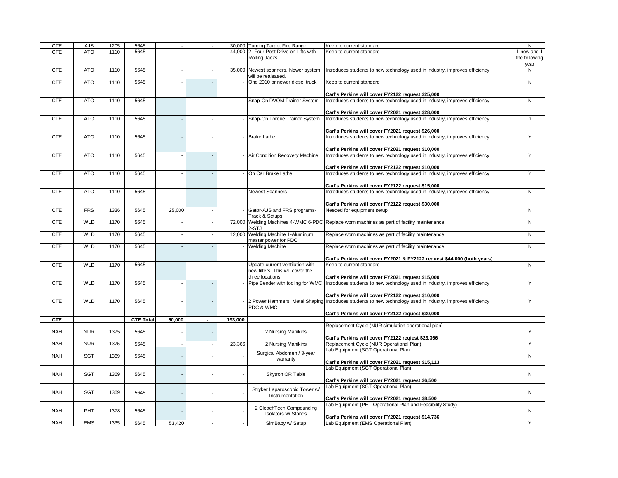| <b>CTE</b> | AJS        | 1205 | 5645             |                |         | 30,000 Turning Target Fire Range                           | Keep to current standard                                                                                                                                        | N                                    |
|------------|------------|------|------------------|----------------|---------|------------------------------------------------------------|-----------------------------------------------------------------------------------------------------------------------------------------------------------------|--------------------------------------|
| <b>CTE</b> | <b>ATO</b> | 1110 | 5645             |                |         | 44,000 2- Four Post Drive on Lifts with<br>Rolling Jacks   | Keep to current standard                                                                                                                                        | 1 now and 1<br>the following<br>year |
| <b>CTE</b> | <b>ATO</b> | 1110 | 5645             |                |         | 35,000 Newest scanners. Newer system<br>will be realeased. | Introduces students to new technology used in industry, improves efficiency                                                                                     | N                                    |
| <b>CTE</b> | <b>ATO</b> | 1110 | 5645             |                |         | One 2010 or newer diesel truck                             | Keep to current standard                                                                                                                                        | N                                    |
| <b>CTE</b> | <b>ATO</b> | 1110 | 5645             |                |         | - Snap-On DVOM Trainer System                              | Carl's Perkins will cover FY2122 request \$25,000<br>Introduces students to new technology used in industry, improves efficiency                                | N                                    |
|            |            |      |                  |                |         |                                                            | Carl's Perkins will cover FY2021 request \$28,000                                                                                                               |                                      |
| <b>CTE</b> | <b>ATO</b> | 1110 | 5645             |                |         | - Snap-On Torque Trainer System                            | Introduces students to new technology used in industry, improves efficiency                                                                                     | $\sf n$                              |
|            |            |      |                  |                |         |                                                            | Carl's Perkins will cover FY2021 request \$26,000                                                                                                               |                                      |
| <b>CTE</b> | <b>ATO</b> | 1110 | 5645             |                |         | <b>Brake Lathe</b>                                         | Introduces students to new technology used in industry, improves efficiency                                                                                     | Υ                                    |
| <b>CTE</b> | <b>ATO</b> | 1110 | 5645             |                |         | - Air Condition Recovery Machine                           | Carl's Perkins will cover FY2021 request \$10,000<br>Introduces students to new technology used in industry, improves efficiency                                | Y                                    |
|            |            |      |                  |                |         |                                                            | Carl's Perkins will cover FY2122 request \$10,000                                                                                                               |                                      |
| <b>CTE</b> | <b>ATO</b> | 1110 | 5645             |                |         | - On Car Brake Lathe                                       | Introduces students to new technology used in industry, improves efficiency                                                                                     | Y                                    |
|            |            |      |                  |                |         |                                                            | Carl's Perkins will cover FY2122 request \$15,000                                                                                                               |                                      |
| <b>CTE</b> | <b>ATO</b> | 1110 | 5645             |                |         | <b>Newest Scanners</b>                                     | Introduces students to new technology used in industry, improves efficiency                                                                                     | N                                    |
|            |            |      |                  |                |         |                                                            | Carl's Perkins will cover FY2122 request \$30,000                                                                                                               |                                      |
| <b>CTE</b> | <b>FRS</b> | 1336 | 5645             | 25,000         |         | Gator-AJS and FRS programs-                                | Needed for equipment setup                                                                                                                                      | N                                    |
|            |            |      |                  |                |         | Track & Setups                                             |                                                                                                                                                                 |                                      |
| <b>CTE</b> | <b>WLD</b> | 1170 | 5645             |                |         | 2-STJ                                                      | 72,000 Welding Machines 4-WMC 6-PDC Replace worn machines as part of facility maintenance                                                                       | $\mathsf{N}$                         |
| <b>CTE</b> | <b>WLD</b> | 1170 | 5645             |                |         | 12,000 Welding Machine 1-Aluminum<br>master power for PDC  | Replace worn machines as part of facility maintenance                                                                                                           | N                                    |
| <b>CTE</b> | <b>WLD</b> | 1170 | 5645             |                |         | - Welding Machine                                          | Replace worn machines as part of facility maintenance<br>Carl's Perkins will cover FY2021 & FY2122 request \$44,000 (both years)                                | N                                    |
| <b>CTE</b> | <b>WLD</b> | 1170 | 5645             |                |         | - Update current ventilation with                          | Keep to current standard                                                                                                                                        | N                                    |
|            |            |      |                  |                |         | new filters. This will cover the                           |                                                                                                                                                                 |                                      |
|            |            |      |                  |                |         | three locations                                            | Carl's Perkins will cover FY2021 request \$15,000                                                                                                               |                                      |
| <b>CTE</b> | <b>WLD</b> | 1170 | 5645             |                |         | Pipe Bender with tooling for WMC                           | Introduces students to new technology used in industry, improves efficiency                                                                                     | Υ                                    |
| <b>CTE</b> | <b>WLD</b> | 1170 | 5645             |                |         |                                                            | Carl's Perkins will cover FY2122 request \$10,000<br>2 Power Hammers, Metal Shaping Introduces students to new technology used in industry, improves efficiency | Y                                    |
|            |            |      |                  |                |         | PDC & WMC                                                  | Carl's Perkins will cover FY2122 request \$30,000                                                                                                               |                                      |
| <b>CTE</b> |            |      | <b>CTE Total</b> | 50,000         | 193,000 |                                                            |                                                                                                                                                                 |                                      |
| <b>NAH</b> | <b>NUR</b> | 1375 | 5645             |                |         | 2 Nursing Manikins                                         | Replacement Cycle (NUR simulation operational plan)                                                                                                             | Υ                                    |
| <b>NAH</b> | <b>NUR</b> | 1375 | 5645             | $\blacksquare$ | 23,366  | 2 Nursing Manikins                                         | Carl's Perkins will cover FY2122 reqiest \$23,366<br>Replacement Cycle (NUR Operational Plan)                                                                   | Y                                    |
|            |            |      |                  |                |         |                                                            | Lab Equipment (SGT Operational Plan                                                                                                                             |                                      |
| <b>NAH</b> | <b>SGT</b> | 1369 | 5645             |                |         | Surgical Abdomen / 3-year<br>warranty                      | Carl's Perkins will cover FY2021 request \$15,113                                                                                                               | N                                    |
|            |            |      |                  |                |         |                                                            | Lab Equipment (SGT Operational Plan)                                                                                                                            |                                      |
| <b>NAH</b> | SGT        | 1369 | 5645             |                |         | Skytron OR Table                                           | Carl's Perkins will cover FY2021 request \$6,500                                                                                                                | N                                    |
| <b>NAH</b> | <b>SGT</b> | 1369 | 5645             |                |         | Stryker Laparoscopic Tower w/<br>Instrumentation           | Lab Equipment (SGT Operational Plan)<br>Carl's Perkins will cover FY2021 request \$8,500                                                                        | N                                    |
| <b>NAH</b> | PHT        | 1378 | 5645             |                |         | 2 CleachTech Compounding<br>Isolators w/ Stands            | Lab Equipment (PHT Operational Plan and Feasibility Study)                                                                                                      | N                                    |
| <b>NAH</b> | <b>EMS</b> | 1335 | 5645             | 53,420         | $\sim$  | SimBaby w/ Setup                                           | Carl's Perkins will cover FY2021 request \$14,736<br>Lab Equipment (EMS Operational Plan)                                                                       | ٧                                    |
|            |            |      |                  |                |         |                                                            |                                                                                                                                                                 |                                      |